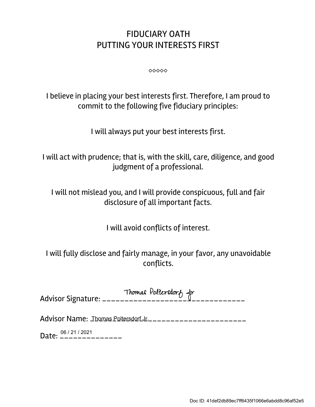## FIDUCIARY OATH PUTTING YOUR INTERESTS FIRST

 $\circ \circ \circ \circ \circ$ 

I believe in placing your best interests first. Therefore, I am proud to commit to the following five fiduciary principles:

I will always put your best interests first.

I will act with prudence; that is, with the skill, care, diligence, and good judgment of a professional.

I will not mislead you, and I will provide conspicuous, full and fair disclosure of all important facts.

I will avoid conflicts of interest.

I will fully disclose and fairly manage, in your favor, any unavoidable conflicts.

| Thomas Politersdorf fr |
|------------------------|
|                        |
|                        |

Advisor Name: \_\_\_\_\_\_\_\_\_\_\_\_\_\_\_\_\_\_\_\_\_\_\_\_\_\_\_\_\_\_\_\_\_\_\_ Thomas Poltersdorf Jr.

Date: <sup>06/21/2021</sup>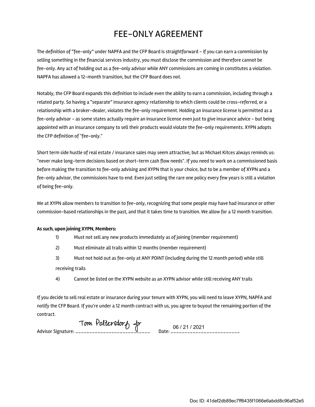## FEE-ONLY AGREEMENT

The definition of "fee-only" under NAPFA and the CFP Board is straightforward - if you can earn a commission by selling something in the financial services industry, you must disclose the commission and therefore cannot be fee-only. Any act of holding out as a fee-only advisor while ANY commissions are coming in constitutes a violation. NAPFA has allowed a 12-month transition, but the CFP Board does not.

Notably, the CFP Board expands this definition to include even the ability to earn a commission, including through a related party. So having a "separate" insurance agency relationship to which clients could be cross-referred, or a relationship with a broker-dealer, violates the fee-only requirement. Holding an insurance license is permitted as a fee-only advisor - as some states actually require an insurance license even just to give insurance advice - but being appointed with an insurance company to sell their products would violate the fee-only requirements. XYPN adopts the CFP definition of "fee-only."

Short term side hustle of real estate / insurance sales may seem attractive, but as Michael Kitces always reminds us: "never make long-term decisions based on short-term cash flow needs". If you need to work on a commissioned basis before making the transition to fee-only advising and XYPN that is your choice, but to be a member of XYPN and a fee-only advisor, the commissions have to end. Even just selling the rare one policy every few years is still a violation of being fee-only.

We at XYPN allow members to transition to fee-only, recognizing that some people may have had insurance or other commission-based relationships in the past, and that it takes time to transition. We allow for a 12 month transition.

## **As such, upon joining XYPN, Members:**

- 1) Must not sell any new products immediately as of joining (member requirement)
- 2) Must eliminate all trails within 12 months (member requirement)
- 3) Must not hold out as fee-only at ANY POINT (including during the 12 month period) while still receiving trails
- 4) Cannot be listed on the XYPN website as an XYPN advisor while still receiving ANY trails

If you decide to sell real estate or insurance during your tenure with XYPN, you will need to leave XYPN, NAPFA and notify the CFP Board. If you're under a 12 month contract with us, you agree to buyout the remaining portion of the contract.

Advisor Signature: \_\_\_\_\_\_\_\_\_\_\_\_\_\_\_\_\_\_\_\_\_\_\_\_\_\_\_ Date: \_\_\_\_\_\_\_\_\_\_\_\_\_\_\_\_\_\_\_\_\_\_\_\_\_

06 / 21 / 2021